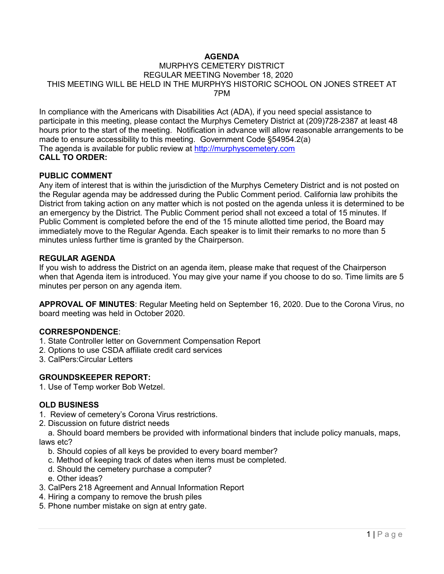# **AGENDA**

# MURPHYS CEMETERY DISTRICT REGULAR MEETING November 18, 2020 THIS MEETING WILL BE HELD IN THE MURPHYS HISTORIC SCHOOL ON JONES STREET AT 7PM

In compliance with the Americans with Disabilities Act (ADA), if you need special assistance to participate in this meeting, please contact the Murphys Cemetery District at (209)728-2387 at least 48 hours prior to the start of the meeting. Notification in advance will allow reasonable arrangements to be made to ensure accessibility to this meeting. Government Code §54954.2(a) The agenda is available for public review at [http://murphyscemetery.com](http://murphyscemetery.com/)  **CALL TO ORDER:**

#### **PUBLIC COMMENT**

Any item of interest that is within the jurisdiction of the Murphys Cemetery District and is not posted on the Regular agenda may be addressed during the Public Comment period. California law prohibits the District from taking action on any matter which is not posted on the agenda unless it is determined to be an emergency by the District. The Public Comment period shall not exceed a total of 15 minutes. If Public Comment is completed before the end of the 15 minute allotted time period, the Board may immediately move to the Regular Agenda. Each speaker is to limit their remarks to no more than 5 minutes unless further time is granted by the Chairperson.

## **REGULAR AGENDA**

If you wish to address the District on an agenda item, please make that request of the Chairperson when that Agenda item is introduced. You may give your name if you choose to do so. Time limits are 5 minutes per person on any agenda item.

**APPROVAL OF MINUTES**: Regular Meeting held on September 16, 2020. Due to the Corona Virus, no board meeting was held in October 2020.

# **CORRESPONDENCE**:

- 1. State Controller letter on Government Compensation Report
- 2. Options to use CSDA affiliate credit card services
- 3. CalPers:Circular Letters

# **GROUNDSKEEPER REPORT:**

1. Use of Temp worker Bob Wetzel.

#### **OLD BUSINESS**

- 1. Review of cemetery's Corona Virus restrictions.
- 2. Discussion on future district needs

 a. Should board members be provided with informational binders that include policy manuals, maps, laws etc?

- b. Should copies of all keys be provided to every board member?
- c. Method of keeping track of dates when items must be completed.
- d. Should the cemetery purchase a computer?
- e. Other ideas?
- 3. CalPers 218 Agreement and Annual Information Report
- 4. Hiring a company to remove the brush piles
- 5. Phone number mistake on sign at entry gate.